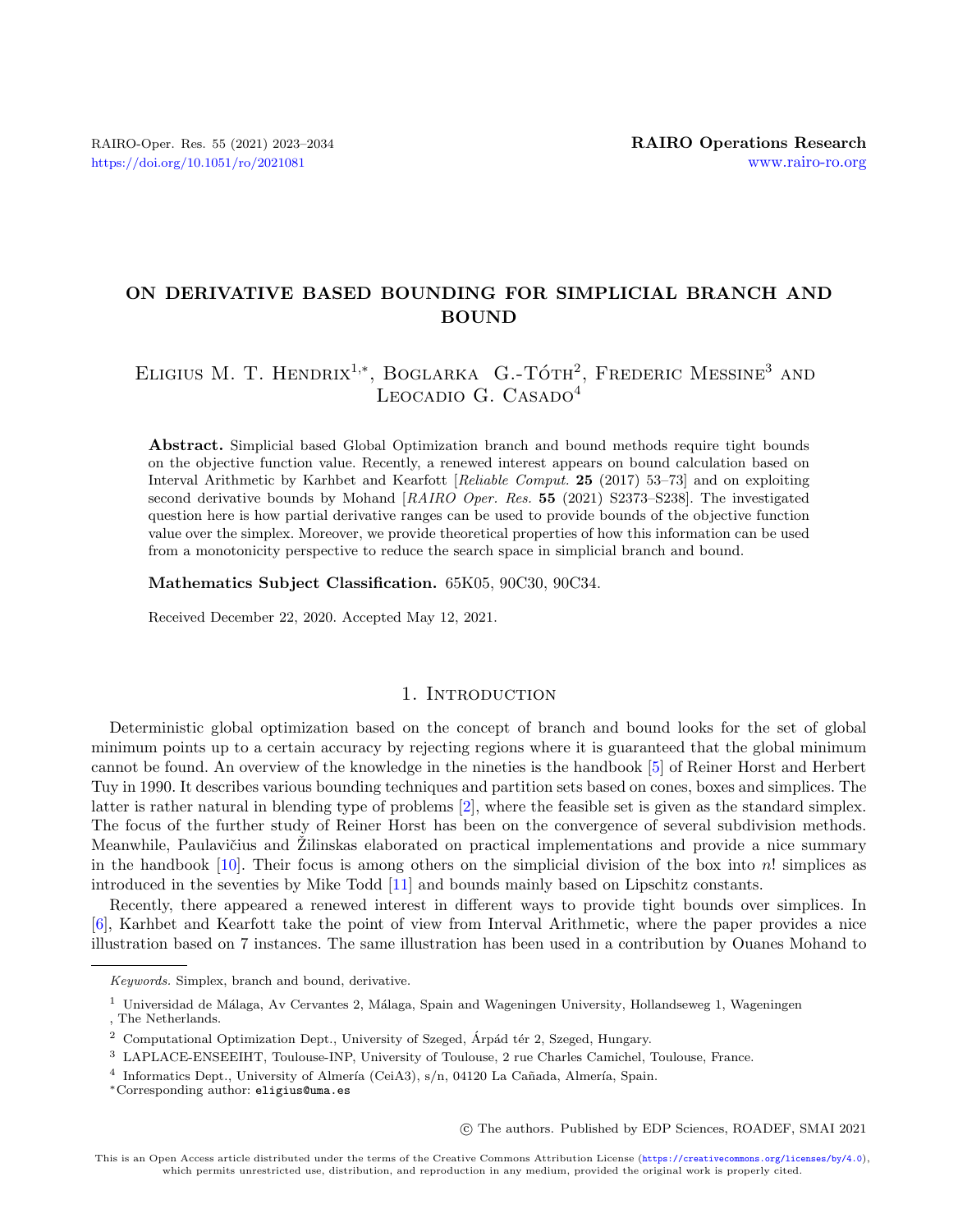# ON DERIVATIVE BASED BOUNDING FOR SIMPLICIAL BRANCH AND BOUND

# ELIGIUS M. T. HENDRIX<sup>1,\*</sup>, BOGLARKA G.-TÓTH<sup>2</sup>, FREDERIC MESSINE<sup>3</sup> AND LEOCADIO G. CASADO<sup>4</sup>

Abstract. Simplicial based Global Optimization branch and bound methods require tight bounds on the objective function value. Recently, a renewed interest appears on bound calculation based on Interval Arithmetic by Karhbet and Kearfott [Reliable Comput. 25 (2017) 53–73] and on exploiting second derivative bounds by Mohand [RAIRO Oper. Res. 55 (2021) S2373–S238]. The investigated question here is how partial derivative ranges can be used to provide bounds of the objective function value over the simplex. Moreover, we provide theoretical properties of how this information can be used from a monotonicity perspective to reduce the search space in simplicial branch and bound.

Mathematics Subject Classification. 65K05, 90C30, 90C34.

Received December 22, 2020. Accepted May 12, 2021.

#### 1. INTRODUCTION

Deterministic global optimization based on the concept of branch and bound looks for the set of global minimum points up to a certain accuracy by rejecting regions where it is guaranteed that the global minimum cannot be found. An overview of the knowledge in the nineties is the handbook [\[5\]](#page-11-0) of Reiner Horst and Herbert Tuy in 1990. It describes various bounding techniques and partition sets based on cones, boxes and simplices. The latter is rather natural in blending type of problems [\[2\]](#page-11-1), where the feasible set is given as the standard simplex. The focus of the further study of Reiner Horst has been on the convergence of several subdivision methods. Meanwhile, Paulavičius and Zilinskas elaborated on practical implementations and provide a nice summary in the handbook  $[10]$ . Their focus is among others on the simplicial division of the box into n! simplices as introduced in the seventies by Mike Todd [\[11\]](#page-11-3) and bounds mainly based on Lipschitz constants.

Recently, there appeared a renewed interest in different ways to provide tight bounds over simplices. In [\[6\]](#page-11-4), Karhbet and Kearfott take the point of view from Interval Arithmetic, where the paper provides a nice illustration based on 7 instances. The same illustration has been used in a contribution by Ouanes Mohand to

c The authors. Published by EDP Sciences, ROADEF, SMAI 2021

Keywords. Simplex, branch and bound, derivative.

 $1$  Universidad de Málaga, Av Cervantes 2, Málaga, Spain and Wageningen University, Hollandseweg 1, Wageningen , The Netherlands.

 $2$  Computational Optimization Dept., University of Szeged, Árpád tér 2, Szeged, Hungary.

<sup>3</sup> LAPLACE-ENSEEIHT, Toulouse-INP, University of Toulouse, 2 rue Charles Camichel, Toulouse, France.

<sup>&</sup>lt;sup>4</sup> Informatics Dept., University of Almería (CeiA3), s/n, 04120 La Cañada, Almería, Spain.

<sup>∗</sup>Corresponding author: [eligius@uma.es](mailto:eligius@uma.es)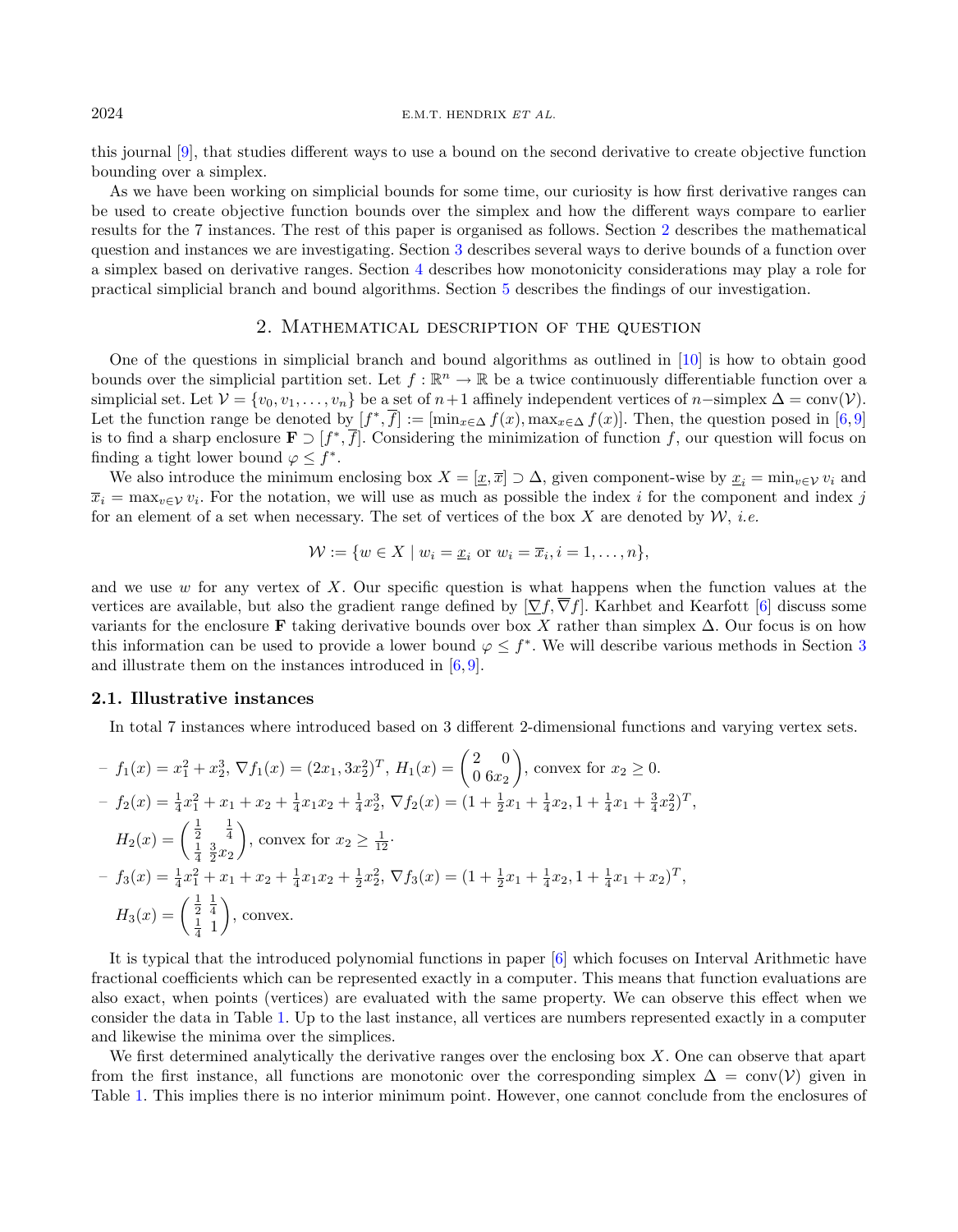this journal [\[9\]](#page-11-5), that studies different ways to use a bound on the second derivative to create objective function bounding over a simplex.

As we have been working on simplicial bounds for some time, our curiosity is how first derivative ranges can be used to create objective function bounds over the simplex and how the different ways compare to earlier results for the 7 instances. The rest of this paper is organised as follows. Section [2](#page-1-0) describes the mathematical question and instances we are investigating. Section [3](#page-2-0) describes several ways to derive bounds of a function over a simplex based on derivative ranges. Section [4](#page-7-0) describes how monotonicity considerations may play a role for practical simplicial branch and bound algorithms. Section [5](#page-10-0) describes the findings of our investigation.

# 2. Mathematical description of the question

<span id="page-1-0"></span>One of the questions in simplicial branch and bound algorithms as outlined in [\[10\]](#page-11-2) is how to obtain good bounds over the simplicial partition set. Let  $f : \mathbb{R}^n \to \mathbb{R}$  be a twice continuously differentiable function over a simplicial set. Let  $\mathcal{V} = \{v_0, v_1, \ldots, v_n\}$  be a set of  $n+1$  affinely independent vertices of  $n$ -simplex  $\Delta = \text{conv}(\mathcal{V})$ . Let the function range be denoted by  $[f^*,\overline{f}] := [\min_{x \in \Delta} f(x), \max_{x \in \Delta} f(x)]$ . Then, the question posed in [\[6,](#page-11-4)[9\]](#page-11-5) is to find a sharp enclosure  $\mathbf{F} \supset [f^*, \overline{f}].$  Considering the minimization of function f, our question will focus on finding a tight lower bound  $\varphi \leq f^*$ .

We also introduce the minimum enclosing box  $X = [\underline{x}, \overline{x}] \supset \Delta$ , given component-wise by  $\underline{x}_i = \min_{v \in \mathcal{V}} v_i$  and  $\overline{x}_i = \max_{v \in V} v_i$ . For the notation, we will use as much as possible the index i for the component and index j for an element of a set when necessary. The set of vertices of the box X are denoted by  $\mathcal{W}$ , *i.e.* 

$$
\mathcal{W} := \{ w \in X \mid w_i = \underline{x}_i \text{ or } w_i = \overline{x}_i, i = 1, \dots, n \},
$$

and we use w for any vertex of X. Our specific question is what happens when the function values at the vertices are available, but also the gradient range defined by  $[\nabla f, \overline{\nabla} f]$ . Karhbet and Kearfott [\[6\]](#page-11-4) discuss some variants for the enclosure F taking derivative bounds over box X rather than simplex  $\Delta$ . Our focus is on how this information can be used to provide a lower bound  $\varphi \leq f^*$ . We will describe various methods in Section [3](#page-2-0) and illustrate them on the instances introduced in [\[6,](#page-11-4) [9\]](#page-11-5).

## 2.1. Illustrative instances

In total 7 instances where introduced based on 3 different 2-dimensional functions and varying vertex sets.

$$
- f_1(x) = x_1^2 + x_2^3, \nabla f_1(x) = (2x_1, 3x_2^2)^T, \ H_1(x) = \begin{pmatrix} 2 & 0 \\ 0 & 6x_2 \end{pmatrix}, \text{ convex for } x_2 \ge 0.
$$
  
\n
$$
- f_2(x) = \frac{1}{4}x_1^2 + x_1 + x_2 + \frac{1}{4}x_1x_2 + \frac{1}{4}x_2^3, \ \nabla f_2(x) = (1 + \frac{1}{2}x_1 + \frac{1}{4}x_2, 1 + \frac{1}{4}x_1 + \frac{3}{4}x_2^2)^T,
$$
  
\n
$$
H_2(x) = \begin{pmatrix} \frac{1}{2} & \frac{1}{4} \\ \frac{1}{4} & \frac{3}{2}x_2 \end{pmatrix}, \text{ convex for } x_2 \ge \frac{1}{12}.
$$
  
\n
$$
- f_3(x) = \frac{1}{4}x_1^2 + x_1 + x_2 + \frac{1}{4}x_1x_2 + \frac{1}{2}x_2^2, \ \nabla f_3(x) = (1 + \frac{1}{2}x_1 + \frac{1}{4}x_2, 1 + \frac{1}{4}x_1 + x_2)^T,
$$
  
\n
$$
H_3(x) = \begin{pmatrix} \frac{1}{2} & \frac{1}{4} \\ \frac{1}{4} & 1 \end{pmatrix}, \text{ convex.}
$$

It is typical that the introduced polynomial functions in paper [\[6\]](#page-11-4) which focuses on Interval Arithmetic have fractional coefficients which can be represented exactly in a computer. This means that function evaluations are also exact, when points (vertices) are evaluated with the same property. We can observe this effect when we consider the data in Table [1.](#page-2-1) Up to the last instance, all vertices are numbers represented exactly in a computer and likewise the minima over the simplices.

We first determined analytically the derivative ranges over the enclosing box  $X$ . One can observe that apart from the first instance, all functions are monotonic over the corresponding simplex  $\Delta = \text{conv}(\mathcal{V})$  given in Table [1.](#page-2-1) This implies there is no interior minimum point. However, one cannot conclude from the enclosures of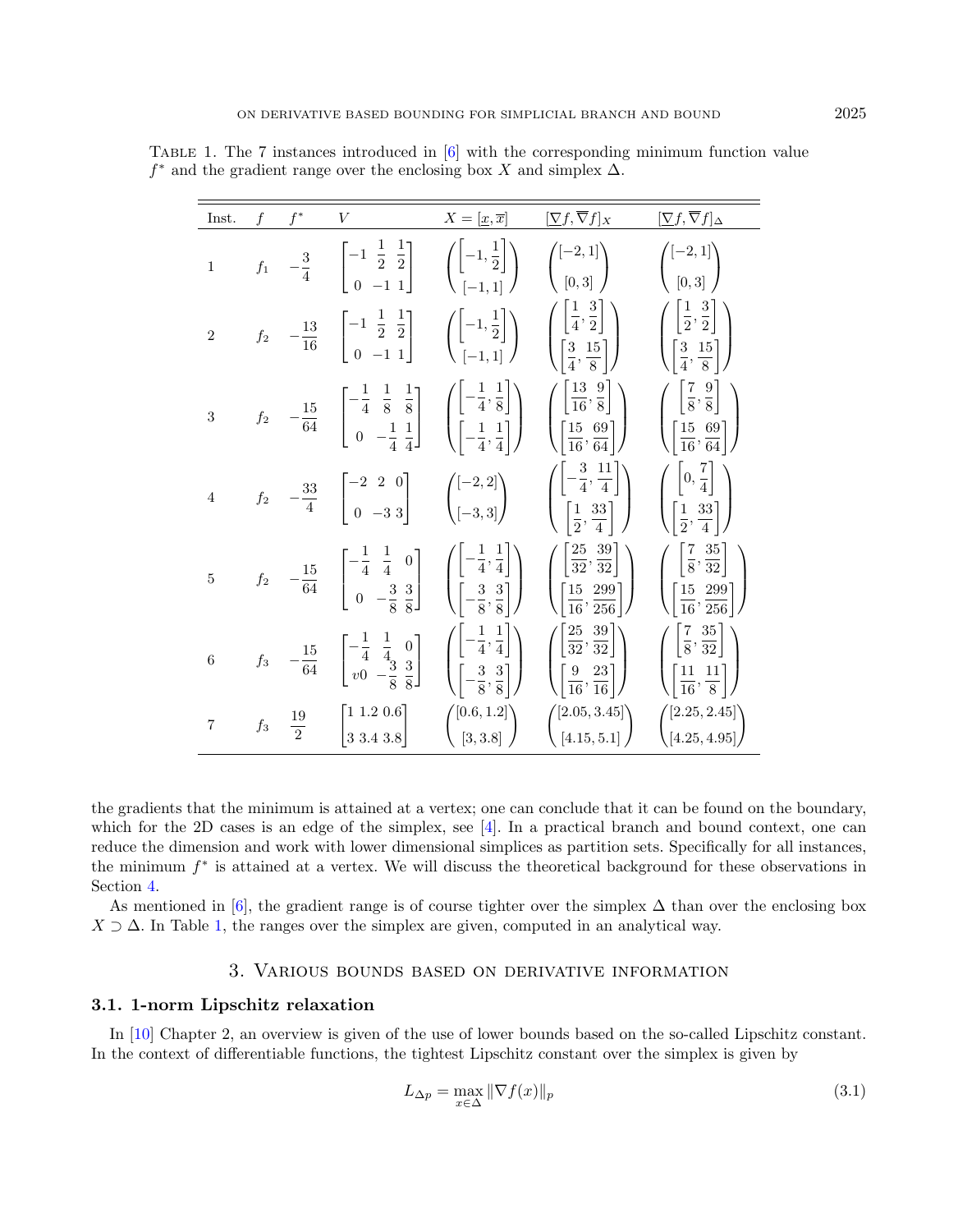| Inst.            |                  |                | V                                                                                                                                                                                                                                                                                                                                                                  | $X=[\underline{x},\overline{x}]$ | $[\nabla f, \overline{\nabla} f]_X$                                                                                                 | $[\nabla f,\overline{\nabla}f]_{\Delta}$                                                                                      |
|------------------|------------------|----------------|--------------------------------------------------------------------------------------------------------------------------------------------------------------------------------------------------------------------------------------------------------------------------------------------------------------------------------------------------------------------|----------------------------------|-------------------------------------------------------------------------------------------------------------------------------------|-------------------------------------------------------------------------------------------------------------------------------|
| $\overline{1}$   |                  |                | $f_1 \quad -\frac{3}{4} \quad \begin{bmatrix} -1 & \frac{1}{2} & \frac{1}{2} \\ 0 & -1 & 1 \end{bmatrix} \quad \begin{pmatrix} \begin{bmatrix} -1 & \frac{1}{2} \end{bmatrix} \\ \begin{bmatrix} -1 & 1 \end{bmatrix} \end{pmatrix}$                                                                                                                               |                                  | $\begin{pmatrix} [-2,1] \\ [0,3] \end{pmatrix}$                                                                                     | $\begin{pmatrix} [-2,1] \\ [0,3] \end{pmatrix}$                                                                               |
| $\overline{2}$   | $\mathfrak{f}_2$ |                | $-\frac{13}{16}$ $\begin{bmatrix} -1 & \frac{1}{2} & \frac{1}{2} \\ 0 & -1 & 1 \end{bmatrix}$ $\left( \begin{bmatrix} -1 & \frac{1}{2} \\ \frac{1}{2} & -1 & 1 \end{bmatrix} \right)$                                                                                                                                                                              |                                  | $\left(\begin{bmatrix} \frac{1}{4}, \frac{3}{2} \\ \frac{3}{4}, \frac{15}{8} \end{bmatrix}\right)$                                  | $\begin{pmatrix} \left[\frac{1}{2},\frac{3}{2}\right] \\ \left[\frac{3}{4},\frac{15}{8}\right] \end{pmatrix}$                 |
| 3                |                  |                | $-\frac{15}{64}$ $\left[\begin{matrix}-\frac{1}{4} & \frac{1}{8} & \frac{1}{8} \\ 0 & -\frac{1}{4} & \frac{1}{4}\end{matrix}\right]$ $\left(\begin{matrix}-\frac{1}{4}, \frac{1}{8} \\ -\frac{1}{4}, \frac{1}{4}\end{matrix}\right)$ $\left(\begin{matrix}\left[\frac{13}{16}, \frac{9}{8}\right] \\ \left[\frac{15}{16}, \frac{69}{64}\right]\end{matrix}\right)$ |                                  |                                                                                                                                     | $\left( \begin{matrix} \left[\frac{7}{8},\frac{9}{8}\right] \\ \left[\frac{15}{16},\frac{69}{64}\right] \end{matrix} \right)$ |
| $\overline{4}$   |                  |                | $f_2$ $-\frac{33}{4}$ $\begin{bmatrix} -2 & 2 & 0 \\ 0 & -3 & 3 \end{bmatrix}$ $\begin{pmatrix} [-2, 2] \\ [-3, 3] \end{pmatrix}$                                                                                                                                                                                                                                  |                                  | $\left( \begin{array}{c} \left[ -\frac{3}{4}, \frac{11}{4} \right] \\ \left[ \frac{1}{2}, \frac{33}{4} \right] \end{array} \right)$ | $\begin{pmatrix} \left[0, \frac{7}{4}\right] \\ \left[\frac{1}{2}, \frac{33}{4}\right] \end{pmatrix}$                         |
| $\overline{5}$   |                  |                | $f_2 \quad -\frac{15}{64} \quad \begin{bmatrix} -\frac{1}{4} & \frac{1}{4} & 0 \\ 0 & -\frac{3}{8} & \frac{3}{8} \end{bmatrix} \quad \left( \begin{bmatrix} -\frac{1}{4}, \frac{1}{4} \\ -\frac{3}{8}, \frac{3}{8} \end{bmatrix} \right) \quad \left( \begin{bmatrix} \frac{25}{32}, \frac{39}{32} \\ \frac{15}{16}, \frac{299}{256} \end{bmatrix} \right)$        |                                  |                                                                                                                                     | $\begin{pmatrix} \left[\frac{7}{8}, \frac{35}{32}\right] \\ \left[\frac{15}{16}, \frac{299}{256}\right] \end{pmatrix}$        |
| $\boldsymbol{6}$ |                  |                | $f_3$ $-\frac{15}{64}$ $\begin{bmatrix} -\frac{1}{4} & \frac{1}{4} & 0 \\ v_0 & -\frac{3}{8} & \frac{3}{8} \end{bmatrix}$ $\begin{bmatrix} \left[-\frac{1}{4}, \frac{1}{4}\right] \\ \left[-\frac{3}{8}, \frac{3}{8}\right] \end{bmatrix}$                                                                                                                         |                                  | $\begin{pmatrix} \left[\frac{25}{32}, \frac{39}{32}\right] \\ \left[\frac{9}{16}, \frac{23}{16}\right] \end{pmatrix}$               | $\left(\begin{matrix}\left[\frac{7}{8},\frac{35}{32}\right] \cr \left[\frac{11}{16},\frac{11}{8}\right]\end{matrix}\right)$   |
| $\overline{7}$   | $f_3$            | $\frac{19}{2}$ | $\begin{bmatrix} 1 & 1.2 & 0.6 \\ 3 & 3.4 & 3.8 \end{bmatrix}$                                                                                                                                                                                                                                                                                                     | $\binom{[0.6, 1.2]}{[3, 3.8]}$   | $\binom{[2.05, 3.45]}{[4.15, 5.1]}$                                                                                                 | $\binom{[2.25, 2.45]}{[4.25, 4.95]}$                                                                                          |

<span id="page-2-1"></span>Table 1. The 7 instances introduced in [\[6\]](#page-11-4) with the corresponding minimum function value  $f^*$  and the gradient range over the enclosing box X and simplex  $\Delta$ .

the gradients that the minimum is attained at a vertex; one can conclude that it can be found on the boundary, which for the 2D cases is an edge of the simplex, see  $[4]$ . In a practical branch and bound context, one can reduce the dimension and work with lower dimensional simplices as partition sets. Specifically for all instances, the minimum  $f^*$  is attained at a vertex. We will discuss the theoretical background for these observations in Section [4.](#page-7-0)

As mentioned in [\[6\]](#page-11-4), the gradient range is of course tighter over the simplex  $\Delta$  than over the enclosing box  $X \supset \Delta$ . In Table [1,](#page-2-1) the ranges over the simplex are given, computed in an analytical way.

# 3. Various bounds based on derivative information

# <span id="page-2-0"></span>3.1. 1-norm Lipschitz relaxation

In [\[10\]](#page-11-2) Chapter 2, an overview is given of the use of lower bounds based on the so-called Lipschitz constant. In the context of differentiable functions, the tightest Lipschitz constant over the simplex is given by

<span id="page-2-2"></span>
$$
L_{\Delta p} = \max_{x \in \Delta} \|\nabla f(x)\|_p \tag{3.1}
$$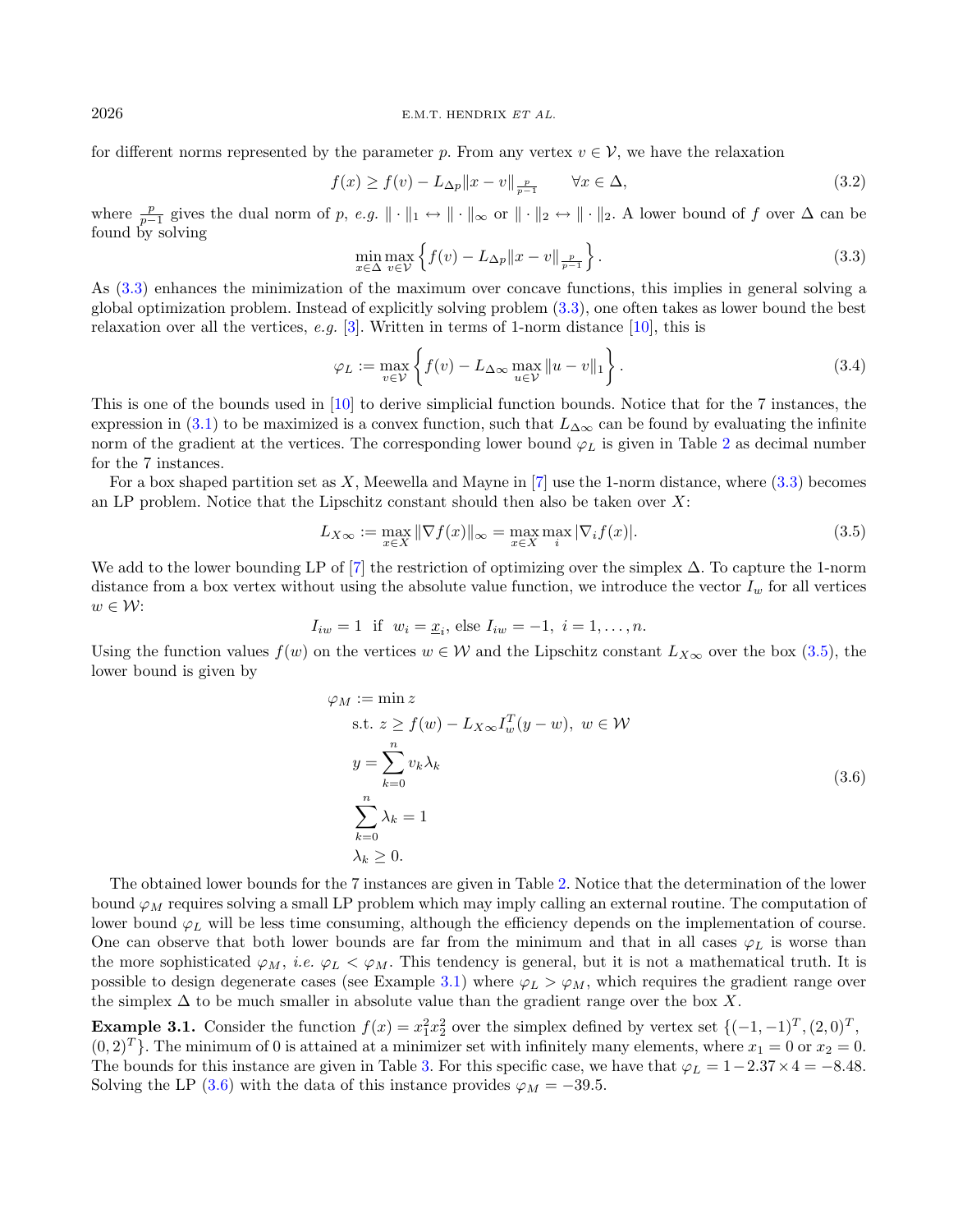#### <span id="page-3-0"></span> $2026$  E.M.T. HENDRIX ET AL.

for different norms represented by the parameter p. From any vertex  $v \in V$ , we have the relaxation

$$
f(x) \ge f(v) - L_{\Delta p} \|x - v\|_{\frac{p}{p-1}} \qquad \forall x \in \Delta,
$$
\n(3.2)

where  $\frac{p}{p-1}$  gives the dual norm of p, e.g.  $\|\cdot\|_1 \leftrightarrow \|\cdot\|_{\infty}$  or  $\|\cdot\|_2 \leftrightarrow \|\cdot\|_2$ . A lower bound of f over  $\Delta$  can be found by solving

<span id="page-3-4"></span><span id="page-3-1"></span>
$$
\min_{x \in \Delta} \max_{v \in \mathcal{V}} \left\{ f(v) - L_{\Delta p} \|x - v\|_{\frac{p}{p-1}} \right\}.
$$
\n(3.3)

As [\(3.3\)](#page-3-0) enhances the minimization of the maximum over concave functions, this implies in general solving a global optimization problem. Instead of explicitly solving problem [\(3.3\)](#page-3-0), one often takes as lower bound the best relaxation over all the vertices, e.g. [\[3\]](#page-11-7). Written in terms of 1-norm distance [\[10\]](#page-11-2), this is

$$
\varphi_L := \max_{v \in \mathcal{V}} \left\{ f(v) - L_{\Delta \infty} \max_{u \in \mathcal{V}} \|u - v\|_1 \right\}.
$$
\n(3.4)

This is one of the bounds used in [\[10\]](#page-11-2) to derive simplicial function bounds. Notice that for the 7 instances, the expression in [\(3.1\)](#page-2-2) to be maximized is a convex function, such that  $L_{\Delta\infty}$  can be found by evaluating the infinite norm of the gradient at the vertices. The corresponding lower bound  $\varphi_L$  is given in Table [2](#page-4-0) as decimal number for the 7 instances.

For a box shaped partition set as  $X$ , Meewella and Mayne in [\[7\]](#page-11-8) use the 1-norm distance, where [\(3.3\)](#page-3-0) becomes an LP problem. Notice that the Lipschitz constant should then also be taken over  $X$ :

<span id="page-3-3"></span>
$$
L_{X\infty} := \max_{x \in X} \|\nabla f(x)\|_{\infty} = \max_{x \in X} \max_{i} |\nabla_i f(x)|.
$$
\n(3.5)

We add to the lower bounding LP of [\[7\]](#page-11-8) the restriction of optimizing over the simplex ∆. To capture the 1-norm distance from a box vertex without using the absolute value function, we introduce the vector  $I_w$  for all vertices  $w \in \mathcal{W}$ :

$$
I_{iw} = 1
$$
 if  $w_i = \underline{x}_i$ , else  $I_{iw} = -1$ ,  $i = 1, ..., n$ .

Using the function values  $f(w)$  on the vertices  $w \in \mathcal{W}$  and the Lipschitz constant  $L_{X\infty}$  over the box [\(3.5\)](#page-3-1), the lower bound is given by

<span id="page-3-2"></span>
$$
\varphi_M := \min z
$$
  
s.t.  $z \ge f(w) - L_{X\infty} I_w^T(y - w), w \in \mathcal{W}$   

$$
y = \sum_{k=0}^n v_k \lambda_k
$$
  

$$
\sum_{k=0}^n \lambda_k = 1
$$
  

$$
\lambda_k \ge 0.
$$
  
(3.6)

The obtained lower bounds for the 7 instances are given in Table [2.](#page-4-0) Notice that the determination of the lower bound  $\varphi_M$  requires solving a small LP problem which may imply calling an external routine. The computation of lower bound  $\varphi_L$  will be less time consuming, although the efficiency depends on the implementation of course. One can observe that both lower bounds are far from the minimum and that in all cases  $\varphi_L$  is worse than the more sophisticated  $\varphi_M$ , i.e.  $\varphi_L < \varphi_M$ . This tendency is general, but it is not a mathematical truth. It is possible to design degenerate cases (see Example [3.1\)](#page-3-2) where  $\varphi_L > \varphi_M$ , which requires the gradient range over the simplex  $\Delta$  to be much smaller in absolute value than the gradient range over the box X.

**Example 3.1.** Consider the function  $f(x) = x_1^2 x_2^2$  over the simplex defined by vertex set  $\{(-1, -1)^T, (2, 0)^T,$  $(0, 2)^T$ . The minimum of 0 is attained at a minimizer set with infinitely many elements, where  $x_1 = 0$  or  $x_2 = 0$ . The bounds for this instance are given in Table [3.](#page-4-1) For this specific case, we have that  $\varphi_L = 1-2.37 \times 4 = -8.48$ . Solving the LP [\(3.6\)](#page-3-3) with the data of this instance provides  $\varphi_M = -39.5$ .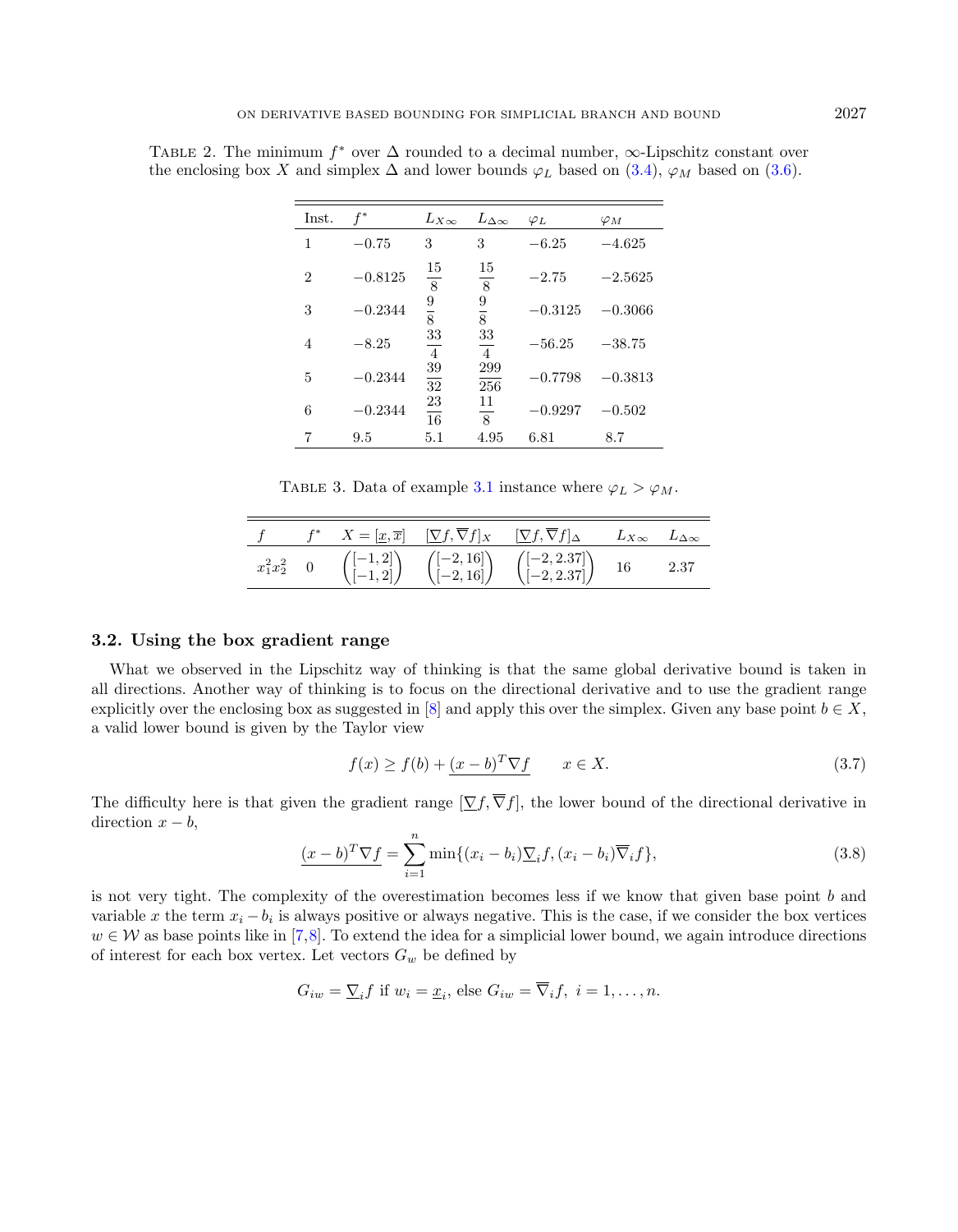<span id="page-4-0"></span>TABLE 2. The minimum  $f^*$  over  $\Delta$  rounded to a decimal number,  $\infty$ -Lipschitz constant over the enclosing box X and simplex  $\Delta$  and lower bounds  $\varphi_L$  based on [\(3.4\)](#page-3-4),  $\varphi_M$  based on [\(3.6\)](#page-3-3).

| Inst.          | $f^*$     | $L_{X\infty}$        | $L_{\Delta\infty}$   | $\varphi_L$ | $\varphi_M$ |
|----------------|-----------|----------------------|----------------------|-------------|-------------|
| 1              | $-0.75$   | 3                    | 3                    | $-6.25$     | $-4.625$    |
| $\overline{2}$ | $-0.8125$ | 15<br>$\overline{8}$ | 15<br>8              | $-2.75$     | $-2.5625$   |
| 3              | $-0.2344$ | $\frac{9}{8}$        | $\frac{9}{8}$        | $-0.3125$   | $-0.3066$   |
| 4              | $-8.25$   | 33<br>$\sqrt{4}$     | 33<br>$\overline{4}$ | $-56.25$    | $-38.75$    |
| 5              | $-0.2344$ | $\frac{39}{32}$      | 299<br>256           | $-0.7798$   | $-0.3813$   |
| 6              | $-0.2344$ | $\frac{23}{16}$      | 11<br>8              | $-0.9297$   | $-0.502$    |
| 7              | 9.5       | 5.1                  | 4.95                 | 6.81        | 8.7         |

<span id="page-4-2"></span>TABLE 3. Data of example [3.1](#page-3-2) instance where  $\varphi_L > \varphi_M$ .

<span id="page-4-3"></span>

|                  |  | $X = [\underline{x}, \overline{x}] \quad [\nabla f, \overline{\nabla} f]_X \quad [\nabla f, \overline{\nabla} f]_{\Delta}$ |                                                                                                                                                        | $L_{X\infty}$ $L_{\Delta\infty}$ |      |
|------------------|--|----------------------------------------------------------------------------------------------------------------------------|--------------------------------------------------------------------------------------------------------------------------------------------------------|----------------------------------|------|
| $x_1^2x_2^2 = 0$ |  |                                                                                                                            | $\begin{pmatrix} [-1,2] \\ [-1,2] \end{pmatrix} \begin{pmatrix} [-2,16] \\ [-2,16] \end{pmatrix} \begin{pmatrix} [-2,2.37] \\ [-2,2.37] \end{pmatrix}$ | 16                               | 2.37 |

### <span id="page-4-1"></span>3.2. Using the box gradient range

What we observed in the Lipschitz way of thinking is that the same global derivative bound is taken in all directions. Another way of thinking is to focus on the directional derivative and to use the gradient range explicitly over the enclosing box as suggested in [\[8\]](#page-11-9) and apply this over the simplex. Given any base point  $b \in X$ , a valid lower bound is given by the Taylor view

$$
f(x) \ge f(b) + \frac{(x - b)^T \nabla f}{x \in X} \qquad x \in X.
$$
\n(3.7)

The difficulty here is that given the gradient range  $[\nabla f, \overline{\nabla} f]$ , the lower bound of the directional derivative in direction  $x - b$ ,

$$
\underline{(x-b)^{T}\nabla f} = \sum_{i=1}^{n} \min\{(x_i - b_i)\underline{\nabla}_i f, (x_i - b_i)\overline{\nabla}_i f\},\tag{3.8}
$$

is not very tight. The complexity of the overestimation becomes less if we know that given base point b and variable x the term  $x_i - b_i$  is always positive or always negative. This is the case, if we consider the box vertices  $w \in \mathcal{W}$  as base points like in [\[7,](#page-11-8)[8\]](#page-11-9). To extend the idea for a simplicial lower bound, we again introduce directions of interest for each box vertex. Let vectors  $G_w$  be defined by

$$
G_{iw} = \underline{\nabla}_i f
$$
 if  $w_i = \underline{x}_i$ , else  $G_{iw} = \overline{\nabla}_i f$ ,  $i = 1, ..., n$ .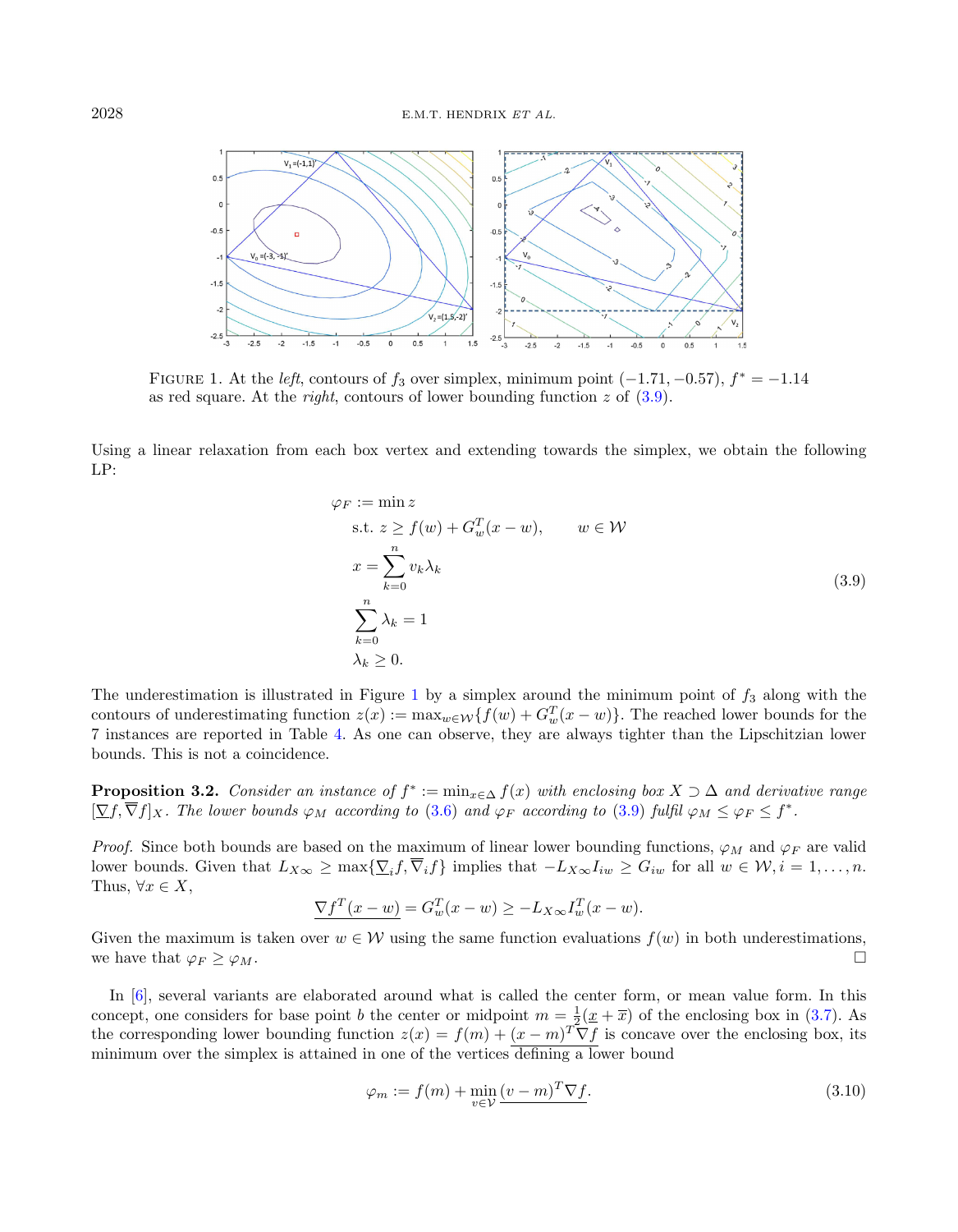

<span id="page-5-1"></span>FIGURE 1. At the *left*, contours of  $f_3$  over simplex, minimum point  $(-1.71, -0.57)$ ,  $f^* = -1.14$ as red square. At the *right*, contours of lower bounding function z of  $(3.9)$ .

Using a linear relaxation from each box vertex and extending towards the simplex, we obtain the following LP:

<span id="page-5-0"></span>
$$
\varphi_F := \min z
$$
  
s.t.  $z \ge f(w) + G_w^T(x - w)$ ,  $w \in \mathcal{W}$   

$$
x = \sum_{k=0}^n v_k \lambda_k
$$
  

$$
\sum_{k=0}^n \lambda_k = 1
$$
  
 $\lambda_k \ge 0$ . (3.9)

The underestimation is illustrated in Figure [1](#page-5-1) by a simplex around the minimum point of  $f_3$  along with the contours of underestimating function  $z(x) := \max_{w \in \mathcal{W}} \{f(w) + G_w^T(x - w)\}\.$  The reached lower bounds for the 7 instances are reported in Table [4.](#page-6-0) As one can observe, they are always tighter than the Lipschitzian lower bounds. This is not a coincidence.

**Proposition 3.2.** Consider an instance of  $f^* := \min_{x \in \Delta} f(x)$  with enclosing box  $X \supset \Delta$  and derivative range  $[\nabla f, \overline{\nabla} f]_X$ . The lower bounds  $\varphi_M$  according to [\(3.6\)](#page-3-3) and  $\varphi_F$  according to [\(3.9\)](#page-5-0) fulfil  $\varphi_M \leq \varphi_F \leq f^*$ .

*Proof.* Since both bounds are based on the maximum of linear lower bounding functions,  $\varphi_M$  and  $\varphi_F$  are valid lower bounds. Given that  $L_{X\infty} \ge \max\{\sum_i f, \nabla_i f\}$  implies that  $-L_{X\infty}I_{iw} \ge G_{iw}$  for all  $w \in \mathcal{W}, i = 1, \ldots, n$ . Thus,  $\forall x \in X$ ,

<span id="page-5-2"></span>
$$
\underline{\nabla f^T(x - w)} = G_w^T(x - w) \ge -L_{X\infty} I_w^T(x - w).
$$

Given the maximum is taken over  $w \in \mathcal{W}$  using the same function evaluations  $f(w)$  in both underestimations, we have that  $\varphi_F \geq \varphi_M$ .

In [\[6\]](#page-11-4), several variants are elaborated around what is called the center form, or mean value form. In this concept, one considers for base point b the center or midpoint  $m = \frac{1}{2}(\underline{x} + \overline{x})$  of the enclosing box in [\(3.7\)](#page-4-2). As the corresponding lower bounding function  $z(x) = f(m) + (x - m)^T \nabla f$  is concave over the enclosing box, its minimum over the simplex is attained in one of the vertices defining a lower bound

$$
\varphi_m := f(m) + \min_{v \in \mathcal{V}} \underbrace{(v - m)^T \nabla f}.
$$
\n(3.10)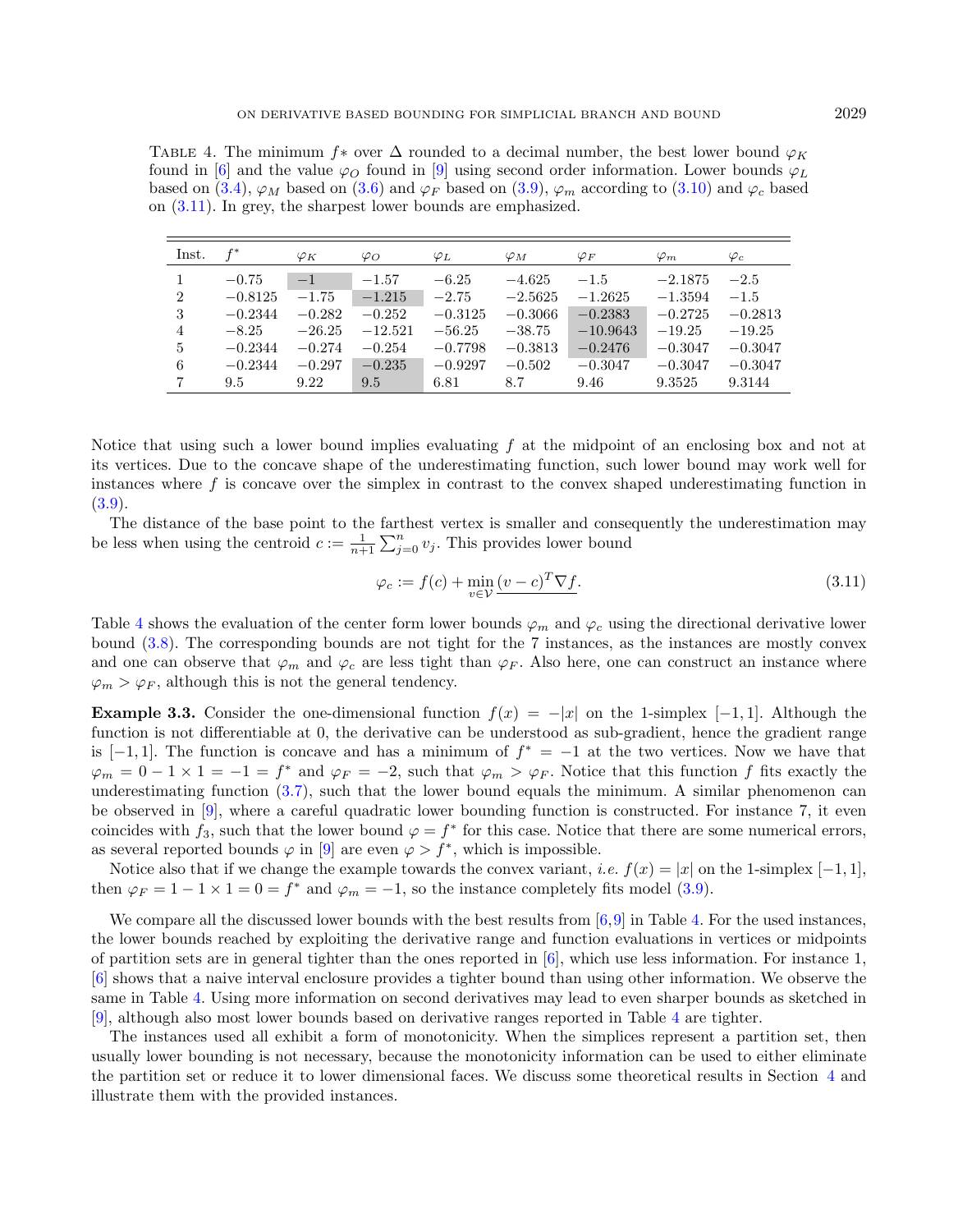<span id="page-6-0"></span>TABLE 4. The minimum f<sup>\*</sup> over  $\Delta$  rounded to a decimal number, the best lower bound  $\varphi_K$ found in [\[6\]](#page-11-4) and the value  $\varphi$  found in [\[9\]](#page-11-5) using second order information. Lower bounds  $\varphi_L$ based on [\(3.4\)](#page-3-4),  $\varphi_M$  based on [\(3.6\)](#page-3-3) and  $\varphi_F$  based on [\(3.9\)](#page-5-0),  $\varphi_m$  according to [\(3.10\)](#page-5-2) and  $\varphi_c$  based on [\(3.11\)](#page-6-1). In grey, the sharpest lower bounds are emphasized.

| Inst.          | $f^*$     | $\varphi_K$ | $\varphi_O$ | $\varphi_L$ | $\varphi_M$ | $\varphi_F$ | $\varphi_m$ | $\varphi_c$ |
|----------------|-----------|-------------|-------------|-------------|-------------|-------------|-------------|-------------|
|                | $-0.75$   | $-1$        | $-1.57$     | $-6.25$     | $-4.625$    | $-1.5$      | $-2.1875$   | $-2.5$      |
| $\overline{2}$ | $-0.8125$ | $-1.75$     | $-1.215$    | $-2.75$     | $-2.5625$   | $-1.2625$   | $-1.3594$   | $-1.5$      |
| 3              | $-0.2344$ | $-0.282$    | $-0.252$    | $-0.3125$   | $-0.3066$   | $-0.2383$   | $-0.2725$   | $-0.2813$   |
| 4              | $-8.25$   | $-26.25$    | $-12.521$   | $-56.25$    | $-38.75$    | $-10.9643$  | $-19.25$    | $-19.25$    |
| 5              | $-0.2344$ | $-0.274$    | $-0.254$    | $-0.7798$   | $-0.3813$   | $-0.2476$   | $-0.3047$   | $-0.3047$   |
| 6              | $-0.2344$ | $-0.297$    | $-0.235$    | $-0.9297$   | $-0.502$    | $-0.3047$   | $-0.3047$   | $-0.3047$   |
| $\overline{7}$ | 9.5       | 9.22        | 9.5         | 6.81        | 8.7         | 9.46        | 9.3525      | 9.3144      |

Notice that using such a lower bound implies evaluating  $f$  at the midpoint of an enclosing box and not at its vertices. Due to the concave shape of the underestimating function, such lower bound may work well for instances where f is concave over the simplex in contrast to the convex shaped underestimating function in [\(3.9\)](#page-5-0).

The distance of the base point to the farthest vertex is smaller and consequently the underestimation may be less when using the centroid  $c := \frac{1}{n+1} \sum_{j=0}^{n} v_j$ . This provides lower bound

<span id="page-6-1"></span>
$$
\varphi_c := f(c) + \min_{v \in \mathcal{V}} \underbrace{(v - c)^T \nabla f}.
$$
\n(3.11)

Table [4](#page-6-0) shows the evaluation of the center form lower bounds  $\varphi_m$  and  $\varphi_c$  using the directional derivative lower bound [\(3.8\)](#page-4-3). The corresponding bounds are not tight for the 7 instances, as the instances are mostly convex and one can observe that  $\varphi_m$  and  $\varphi_c$  are less tight than  $\varphi_F$ . Also here, one can construct an instance where  $\varphi_m > \varphi_F$ , although this is not the general tendency.

**Example 3.3.** Consider the one-dimensional function  $f(x) = -|x|$  on the 1-simplex [-1, 1]. Although the function is not differentiable at 0, the derivative can be understood as sub-gradient, hence the gradient range is  $[-1, 1]$ . The function is concave and has a minimum of  $f^* = -1$  at the two vertices. Now we have that  $\varphi_m = 0 - 1 \times 1 = -1 = f^*$  and  $\varphi_F = -2$ , such that  $\varphi_m > \varphi_F$ . Notice that this function f fits exactly the underestimating function  $(3.7)$ , such that the lower bound equals the minimum. A similar phenomenon can be observed in [\[9\]](#page-11-5), where a careful quadratic lower bounding function is constructed. For instance 7, it even coincides with  $f_3$ , such that the lower bound  $\varphi = f^*$  for this case. Notice that there are some numerical errors, as several reported bounds  $\varphi$  in [\[9\]](#page-11-5) are even  $\varphi > f^*$ , which is impossible.

Notice also that if we change the example towards the convex variant, *i.e.*  $f(x) = |x|$  on the 1-simplex [−1, 1], then  $\varphi_F = 1 - 1 \times 1 = 0 = f^*$  and  $\varphi_m = -1$ , so the instance completely fits model [\(3.9\)](#page-5-0).

We compare all the discussed lower bounds with the best results from [\[6,](#page-11-4)[9\]](#page-11-5) in Table [4.](#page-6-0) For the used instances, the lower bounds reached by exploiting the derivative range and function evaluations in vertices or midpoints of partition sets are in general tighter than the ones reported in [\[6\]](#page-11-4), which use less information. For instance 1, [\[6\]](#page-11-4) shows that a naive interval enclosure provides a tighter bound than using other information. We observe the same in Table [4.](#page-6-0) Using more information on second derivatives may lead to even sharper bounds as sketched in [\[9\]](#page-11-5), although also most lower bounds based on derivative ranges reported in Table [4](#page-6-0) are tighter.

The instances used all exhibit a form of monotonicity. When the simplices represent a partition set, then usually lower bounding is not necessary, because the monotonicity information can be used to either eliminate the partition set or reduce it to lower dimensional faces. We discuss some theoretical results in Section [4](#page-7-0) and illustrate them with the provided instances.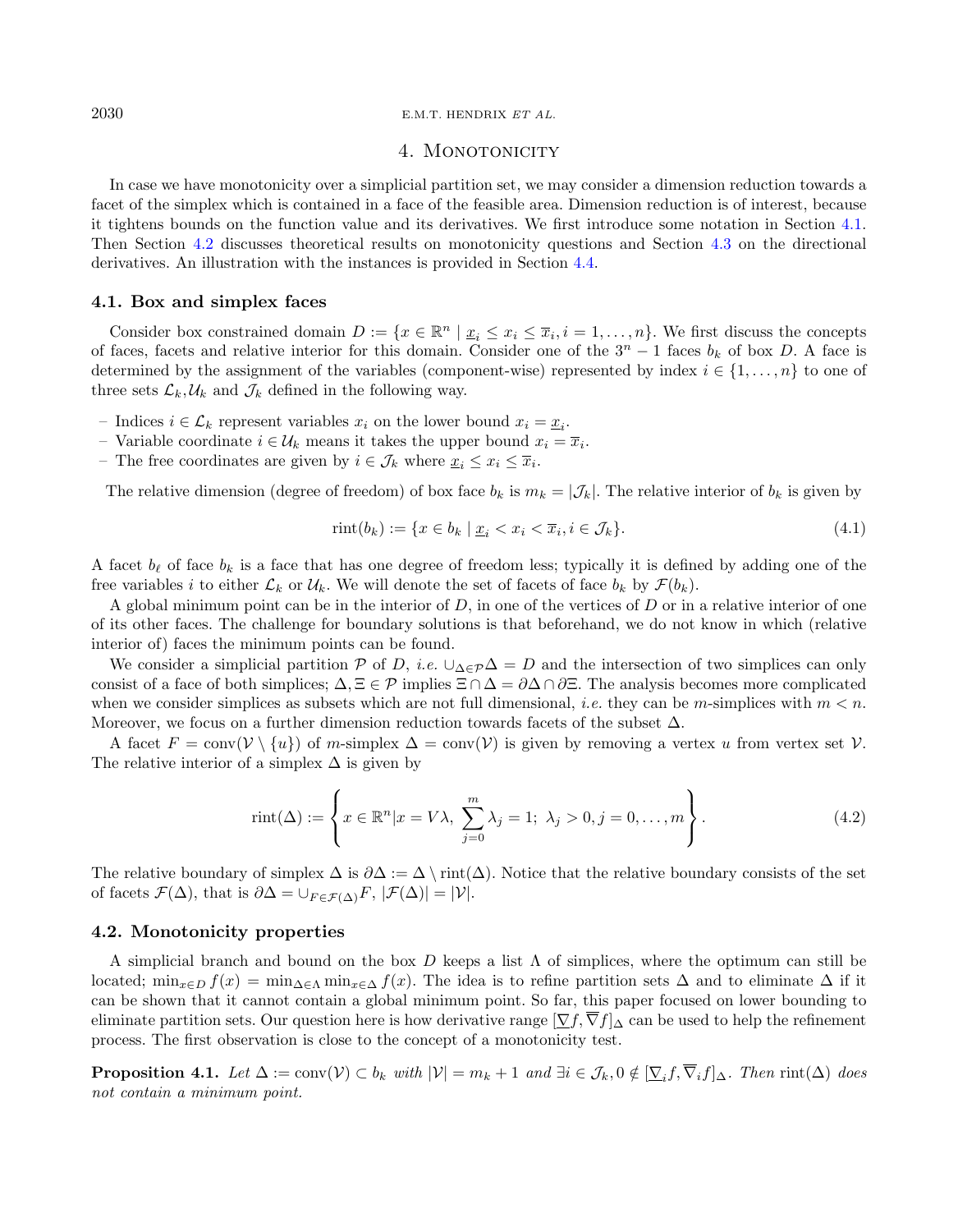#### $2030$  E.M.T. HENDRIX ET AL.

# 4. MONOTONICITY

In case we have monotonicity over a simplicial partition set, we may consider a dimension reduction towards a facet of the simplex which is contained in a face of the feasible area. Dimension reduction is of interest, because it tightens bounds on the function value and its derivatives. We first introduce some notation in Section [4.1.](#page-7-1) Then Section [4.2](#page-7-2) discusses theoretical results on monotonicity questions and Section [4.3](#page-9-0) on the directional derivatives. An illustration with the instances is provided in Section [4.4.](#page-10-1)

#### <span id="page-7-1"></span>4.1. Box and simplex faces

Consider box constrained domain  $D := \{x \in \mathbb{R}^n \mid \underline{x}_i \leq x_i \leq \overline{x}_i, i = 1, ..., n\}$ . We first discuss the concepts of faces, facets and relative interior for this domain. Consider one of the  $3<sup>n</sup> - 1$  faces  $b<sub>k</sub>$  of box D. A face is determined by the assignment of the variables (component-wise) represented by index  $i \in \{1, \ldots, n\}$  to one of three sets  $\mathcal{L}_k, \mathcal{U}_k$  and  $\mathcal{J}_k$  defined in the following way.

- Indices  $i \in \mathcal{L}_k$  represent variables  $x_i$  on the lower bound  $x_i = \underline{x}_i$ .
- Variable coordinate  $i \in \mathcal{U}_k$  means it takes the upper bound  $x_i = \overline{x}_i$ .
- The free coordinates are given by  $i \in \mathcal{J}_k$  where  $\underline{x}_i \leq x_i \leq \overline{x}_i$ .

The relative dimension (degree of freedom) of box face  $b_k$  is  $m_k = |\mathcal{J}_k|$ . The relative interior of  $b_k$  is given by

$$
rint(b_k) := \{ x \in b_k \mid \underline{x}_i < x_i < \overline{x}_i, i \in \mathcal{J}_k \}. \tag{4.1}
$$

A facet  $b_\ell$  of face  $b_k$  is a face that has one degree of freedom less; typically it is defined by adding one of the free variables i to either  $\mathcal{L}_k$  or  $\mathcal{U}_k$ . We will denote the set of facets of face  $b_k$  by  $\mathcal{F}(b_k)$ .

A global minimum point can be in the interior of  $D$ , in one of the vertices of  $D$  or in a relative interior of one of its other faces. The challenge for boundary solutions is that beforehand, we do not know in which (relative interior of) faces the minimum points can be found.

We consider a simplicial partition P of D, i.e.  $\bigcup_{\Delta \in \mathcal{P}} \Delta = D$  and the intersection of two simplices can only consist of a face of both simplices;  $\Delta, \Xi \in \mathcal{P}$  implies  $\Xi \cap \Delta = \partial \Delta \cap \partial \Xi$ . The analysis becomes more complicated when we consider simplices as subsets which are not full dimensional, *i.e.* they can be m-simplices with  $m < n$ . Moreover, we focus on a further dimension reduction towards facets of the subset  $\Delta$ .

A facet  $F = \text{conv}(\mathcal{V} \setminus \{u\})$  of m-simplex  $\Delta = \text{conv}(\mathcal{V})$  is given by removing a vertex u from vertex set  $\mathcal{V}$ . The relative interior of a simplex  $\Delta$  is given by

<span id="page-7-3"></span>
$$
rint(\Delta) := \left\{ x \in \mathbb{R}^n | x = V\lambda, \sum_{j=0}^m \lambda_j = 1; \lambda_j > 0, j = 0, \dots, m \right\}.
$$
\n(4.2)

The relative boundary of simplex  $\Delta$  is  $\partial \Delta := \Delta \setminus \text{rint}(\Delta)$ . Notice that the relative boundary consists of the set of facets  $\mathcal{F}(\Delta)$ , that is  $\partial \Delta = \cup_{F \in \mathcal{F}(\Delta)} F$ ,  $|\mathcal{F}(\Delta)| = |\mathcal{V}|$ .

#### <span id="page-7-2"></span>4.2. Monotonicity properties

A simplicial branch and bound on the box D keeps a list Λ of simplices, where the optimum can still be located;  $\min_{x \in D} f(x) = \min_{\Delta \in \Delta} \min_{x \in \Delta} f(x)$ . The idea is to refine partition sets  $\Delta$  and to eliminate  $\Delta$  if it can be shown that it cannot contain a global minimum point. So far, this paper focused on lower bounding to eliminate partition sets. Our question here is how derivative range  $[\nabla f, \nabla f]$  can be used to help the refinement process. The first observation is close to the concept of a monotonicity test.

**Proposition 4.1.** Let  $\Delta := \text{conv}(\mathcal{V}) \subset b_k$  with  $|\mathcal{V}| = m_k + 1$  and  $\exists i \in \mathcal{J}_k, 0 \notin [\underline{\nabla}_i f, \nabla_i f]_{\Delta}$ . Then  $\text{rint}(\Delta)$  does not contain a minimum point.

<span id="page-7-0"></span>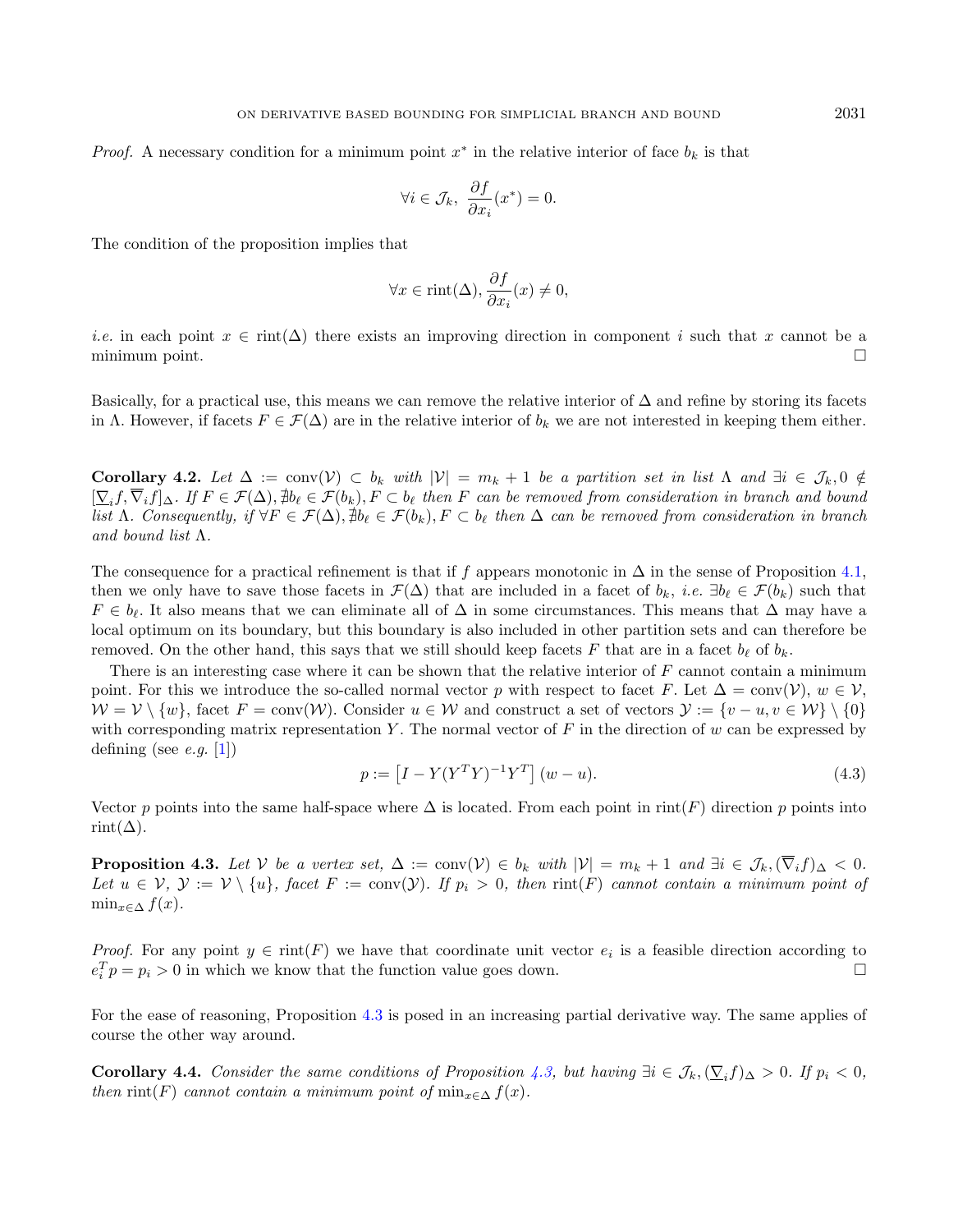*Proof.* A necessary condition for a minimum point  $x^*$  in the relative interior of face  $b_k$  is that

$$
\forall i \in \mathcal{J}_k, \ \frac{\partial f}{\partial x_i}(x^*) = 0.
$$

<span id="page-8-1"></span>The condition of the proposition implies that

$$
\forall x \in \text{rint}(\Delta), \frac{\partial f}{\partial x_i}(x) \neq 0,
$$

*i.e.* in each point  $x \in \text{rint}(\Delta)$  there exists an improving direction in component i such that x cannot be a minimum point.  $\Box$ 

Basically, for a practical use, this means we can remove the relative interior of  $\Delta$  and refine by storing its facets in Λ. However, if facets  $F \in \mathcal{F}(\Delta)$  are in the relative interior of  $b_k$  we are not interested in keeping them either.

<span id="page-8-3"></span>Corollary 4.2. Let  $\Delta := \text{conv}(\mathcal{V}) \subset b_k$  with  $|\mathcal{V}| = m_k + 1$  be a partition set in list  $\Lambda$  and  $\exists i \in \mathcal{J}_k, 0 \notin$  $[\sum_i f, \overline{\nabla}_i f]_{\Delta}$ . If  $F \in \mathcal{F}(\Delta)$ ,  $\nexists b_\ell \in \mathcal{F}(b_k)$ ,  $F \subset b_\ell$  then F can be removed from consideration in branch and bound list Λ. Consequently, if  $\forall F \in \mathcal{F}(\Delta), \nexists b_\ell \in \mathcal{F}(b_k), F \subset b_\ell$  then  $\Delta$  can be removed from consideration in branch and bound list Λ.

<span id="page-8-0"></span>The consequence for a practical refinement is that if f appears monotonic in  $\Delta$  in the sense of Proposition [4.1,](#page-7-3) then we only have to save those facets in  $\mathcal{F}(\Delta)$  that are included in a facet of  $b_k$ , *i.e.*  $\exists b_\ell \in \mathcal{F}(b_k)$  such that  $F \in b_{\ell}$ . It also means that we can eliminate all of  $\Delta$  in some circumstances. This means that  $\Delta$  may have a local optimum on its boundary, but this boundary is also included in other partition sets and can therefore be removed. On the other hand, this says that we still should keep facets F that are in a facet  $b_\ell$  of  $b_k$ .

There is an interesting case where it can be shown that the relative interior of  $F$  cannot contain a minimum point. For this we introduce the so-called normal vector p with respect to facet F. Let  $\Delta = \text{conv}(\mathcal{V})$ ,  $w \in \mathcal{V}$ ,  $W = V \setminus \{w\}$ , facet  $F = \text{conv}(W)$ . Consider  $u \in W$  and construct a set of vectors  $\mathcal{Y} := \{v - u, v \in W\} \setminus \{0\}$ with corresponding matrix representation Y. The normal vector of F in the direction of w can be expressed by defining (see *e.g.* [\[1\]](#page-11-10))

<span id="page-8-2"></span>
$$
p := [I - Y(Y^T Y)^{-1} Y^T] (w - u).
$$
\n(4.3)

Vector p points into the same half-space where  $\Delta$  is located. From each point in rint(F) direction p points into rint $(\Delta)$ .

**Proposition 4.3.** Let V be a vertex set,  $\Delta := \text{conv}(\mathcal{V}) \in b_k$  with  $|\mathcal{V}| = m_k + 1$  and  $\exists i \in \mathcal{J}_k, (\overline{\nabla}_i f)_{\Delta} < 0$ . Let  $u \in V$ ,  $\mathcal{Y} := V \setminus \{u\}$ , facet  $F := conv(\mathcal{Y})$ . If  $p_i > 0$ , then rint(F) cannot contain a minimum point of  $\min_{x \in \Delta} f(x)$ .

*Proof.* For any point  $y \in \text{rint}(F)$  we have that coordinate unit vector  $e_i$  is a feasible direction according to  $e_i^T p = p_i > 0$  in which we know that the function value goes down.

For the ease of reasoning, Proposition [4.3](#page-8-0) is posed in an increasing partial derivative way. The same applies of course the other way around.

**Corollary 4.4.** Consider the same conditions of Proposition [4.3,](#page-8-0) but having  $\exists i \in \mathcal{J}_k$ ,  $(\sum_i f)_{\Delta} > 0$ . If  $p_i < 0$ , then rint(F) cannot contain a minimum point of min<sub>x∈△</sub>  $f(x)$ .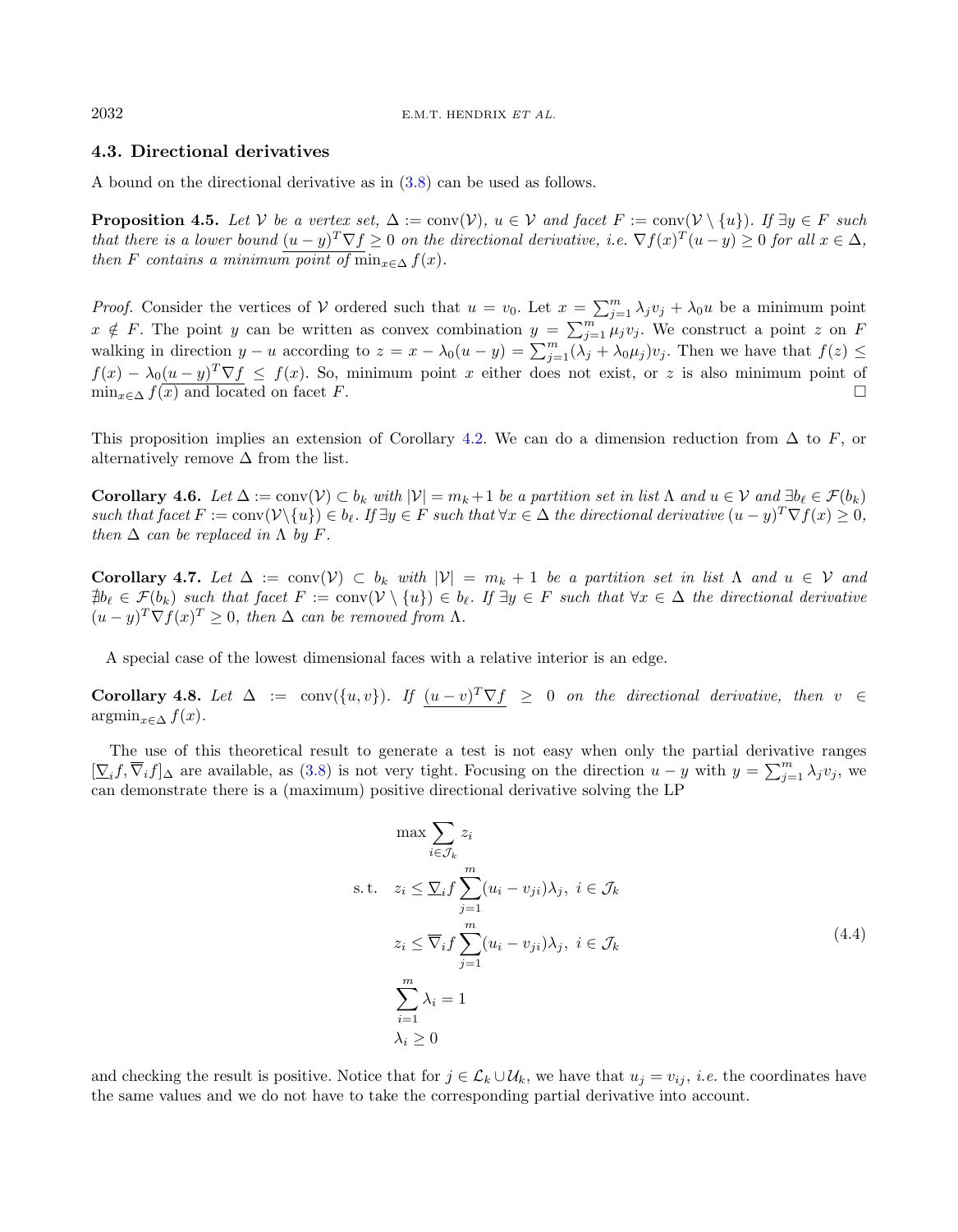# <span id="page-9-1"></span><span id="page-9-0"></span>4.3. Directional derivatives

A bound on the directional derivative as in [\(3.8\)](#page-4-3) can be used as follows.

**Proposition 4.5.** Let V be a vertex set,  $\Delta := \text{conv}(\mathcal{V})$ ,  $u \in \mathcal{V}$  and facet  $F := \text{conv}(\mathcal{V} \setminus \{u\})$ . If  $\exists y \in F$  such that there is a lower bound  $(u-y)^T \nabla f \geq 0$  on the directional derivative, i.e.  $\nabla f(x)^T (u-y) \geq 0$  for all  $x \in \Delta$ , then F contains a minimum point of min<sub> $x \in \Delta$ </sub>  $f(x)$ .

*Proof.* Consider the vertices of V ordered such that  $u = v_0$ . Let  $x = \sum_{j=1}^m \lambda_j v_j + \lambda_0 u$  be a minimum point  $x \notin F$ . The point y can be written as convex combination  $y = \sum_{j=1}^{m} \mu_j v_j$ . We construct a point z on F walking in direction  $y - u$  according to  $z = x - \lambda_0(u - y) = \sum_{j=1}^m (\lambda_j + \lambda_0 \mu_j) v_j$ . Then we have that  $f(z) \leq$  $f(x) - \lambda_0(u-y)^T \nabla f \le f(x)$ . So, minimum point x either does not exist, or z is also minimum point of  $\min_{x \in \Delta} f(x)$  and located on facet F.

This proposition implies an extension of Corollary [4.2.](#page-8-1) We can do a dimension reduction from  $\Delta$  to F, or alternatively remove  $\Delta$  from the list.

**Corollary 4.6.** Let  $\Delta := \text{conv}(\mathcal{V}) \subset b_k$  with  $|\mathcal{V}| = m_k + 1$  be a partition set in list  $\Lambda$  and  $u \in \mathcal{V}$  and  $\exists b_\ell \in \mathcal{F}(b_k)$ such that facet  $F := \text{conv}(\mathcal{V} \setminus \{u\}) \in b_{\ell}$ . If  $\exists y \in F$  such that  $\forall x \in \Delta$  the directional derivative  $(u - y)^T \nabla f(x) \geq 0$ , then  $\Delta$  can be replaced in  $\Lambda$  by F.

Corollary 4.7. Let  $\Delta := \text{conv}(\mathcal{V}) \subset b_k$  with  $|\mathcal{V}| = m_k + 1$  be a partition set in list  $\Lambda$  and  $u \in \mathcal{V}$  and  $\exists b_{\ell} \in \mathcal{F}(b_k)$  such that facet  $F := \text{conv}(\mathcal{V} \setminus \{u\}) \in b_{\ell}$ . If  $\exists y \in F$  such that  $\forall x \in \Delta$  the directional derivative  $(u-y)^T \nabla f(x)^T \geq 0$ , then  $\Delta$  can be removed from  $\Lambda$ .

A special case of the lowest dimensional faces with a relative interior is an edge.

**Corollary 4.8.** Let  $\Delta := \text{conv}(\{u, v\})$ . If  $(u - v)^T \nabla f \geq 0$  on the directional derivative, then  $v \in$  $\operatorname{argmin}_{x \in \Delta} f(x)$ .

The use of this theoretical result to generate a test is not easy when only the partial derivative ranges  $[\sum_i f, \overline{\nabla}_i f]_{\Delta}$  are available, as [\(3.8\)](#page-4-3) is not very tight. Focusing on the direction  $u - y$  with  $y = \sum_{j=1}^m \lambda_j v_j$ , we can demonstrate there is a (maximum) positive directional derivative solving the LP

<span id="page-9-2"></span>
$$
\max \sum_{i \in \mathcal{J}_k} z_i
$$
  
s.t.  $z_i \leq \sum_i f \sum_{j=1}^m (u_i - v_{ji}) \lambda_j, i \in \mathcal{J}_k$   
 $z_i \leq \overline{\nabla}_i f \sum_{j=1}^m (u_i - v_{ji}) \lambda_j, i \in \mathcal{J}_k$   
 $\sum_{i=1}^m \lambda_i = 1$   
 $\lambda_i \geq 0$  (4.4)

and checking the result is positive. Notice that for  $j \in \mathcal{L}_k \cup \mathcal{U}_k$ , we have that  $u_j = v_{ij}$ , *i.e.* the coordinates have the same values and we do not have to take the corresponding partial derivative into account.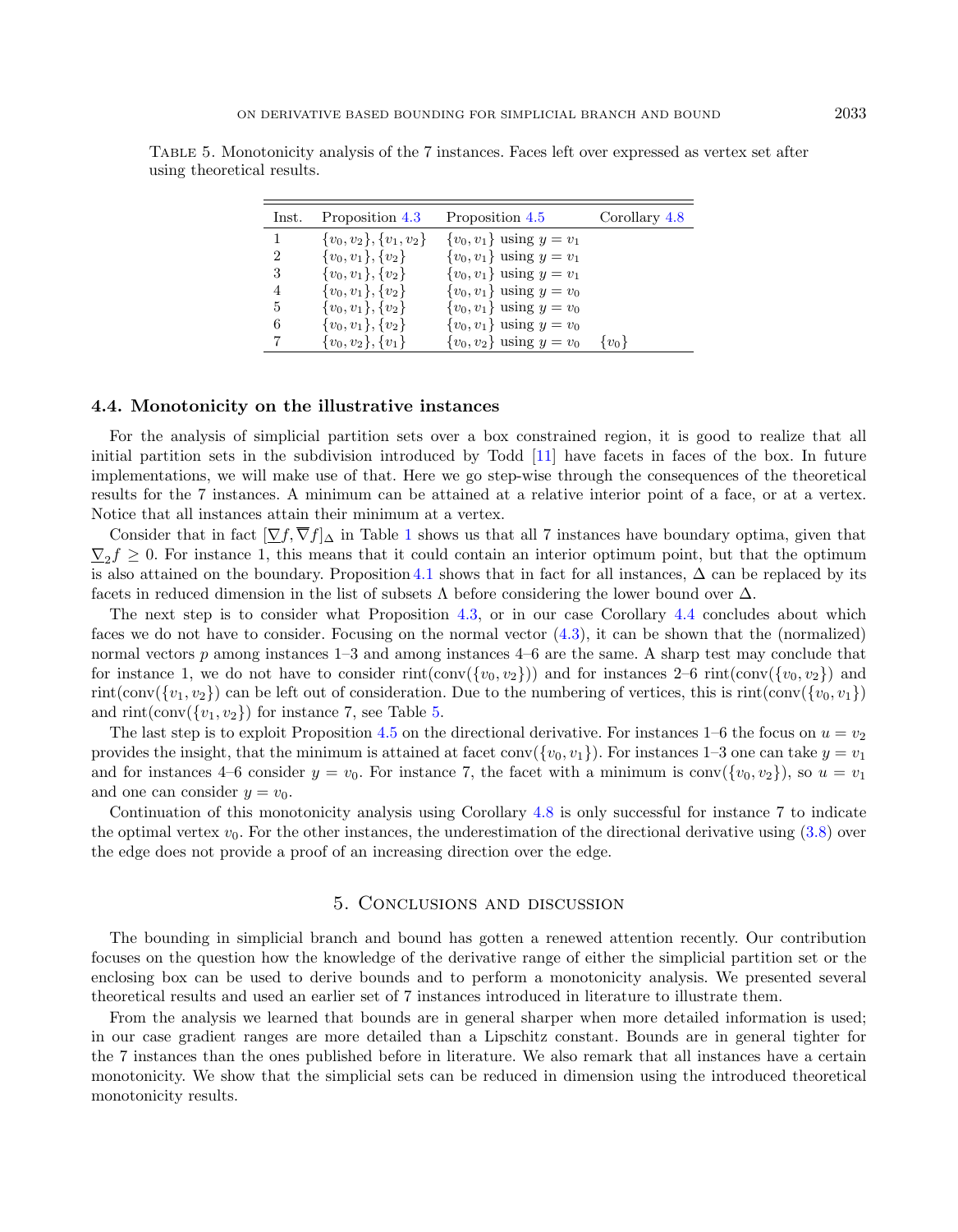| Inst.          | Proposition 4.3              | Proposition 4.5                | Corollary 4.8 |
|----------------|------------------------------|--------------------------------|---------------|
| 1              | $\{v_0, v_2\}, \{v_1, v_2\}$ | $\{v_0, v_1\}$ using $y = v_1$ |               |
| $\overline{2}$ | $\{v_0, v_1\}, \{v_2\}$      | $\{v_0, v_1\}$ using $y = v_1$ |               |
| 3              | $\{v_0, v_1\}, \{v_2\}$      | $\{v_0, v_1\}$ using $y = v_1$ |               |
| 4              | $\{v_0, v_1\}, \{v_2\}$      | $\{v_0, v_1\}$ using $y = v_0$ |               |
| 5              | $\{v_0, v_1\}, \{v_2\}$      | $\{v_0, v_1\}$ using $y = v_0$ |               |
| 6              | $\{v_0, v_1\}, \{v_2\}$      | $\{v_0, v_1\}$ using $y = v_0$ |               |
| 7              | $\{v_0, v_2\}, \{v_1\}$      | $\{v_0, v_2\}$ using $y = v_0$ | $\{v_0\}$     |

<span id="page-10-2"></span>Table 5. Monotonicity analysis of the 7 instances. Faces left over expressed as vertex set after using theoretical results.

#### <span id="page-10-1"></span>4.4. Monotonicity on the illustrative instances

For the analysis of simplicial partition sets over a box constrained region, it is good to realize that all initial partition sets in the subdivision introduced by Todd [\[11\]](#page-11-3) have facets in faces of the box. In future implementations, we will make use of that. Here we go step-wise through the consequences of the theoretical results for the 7 instances. A minimum can be attained at a relative interior point of a face, or at a vertex. Notice that all instances attain their minimum at a vertex.

Consider that in fact  $[\nabla f, \overline{\nabla} f]_{\Delta}$  in Table [1](#page-2-1) shows us that all 7 instances have boundary optima, given that  $\nabla_2 f \geq 0$ . For instance 1, this means that it could contain an interior optimum point, but that the optimum is also attained on the boundary. Proposition [4.1](#page-7-3) shows that in fact for all instances,  $\Delta$  can be replaced by its facets in reduced dimension in the list of subsets  $\Lambda$  before considering the lower bound over  $\Delta$ .

The next step is to consider what Proposition [4.3,](#page-8-0) or in our case Corollary [4.4](#page-8-2) concludes about which faces we do not have to consider. Focusing on the normal vector [\(4.3\)](#page-8-3), it can be shown that the (normalized) normal vectors p among instances 1–3 and among instances 4–6 are the same. A sharp test may conclude that for instance 1, we do not have to consider rint(conv( $\{v_0, v_2\}$ )) and for instances 2–6 rint(conv( $\{v_0, v_2\}$ ) and rint(conv({v<sub>1</sub>, v<sub>2</sub>}) can be left out of consideration. Due to the numbering of vertices, this is rint(conv({v<sub>0</sub>, v<sub>1</sub>}) and  $\text{rint}(\text{conv}(\{v_1, v_2\})$  for instance 7, see Table [5.](#page-10-2)

The last step is to exploit Proposition [4.5](#page-9-1) on the directional derivative. For instances 1–6 the focus on  $u = v_2$ provides the insight, that the minimum is attained at facet conv( $\{v_0, v_1\}$ ). For instances 1–3 one can take  $y = v_1$ and for instances 4–6 consider  $y = v_0$ . For instance 7, the facet with a minimum is conv( $\{v_0, v_2\}$ ), so  $u = v_1$ and one can consider  $y = v_0$ .

Continuation of this monotonicity analysis using Corollary [4.8](#page-9-2) is only successful for instance 7 to indicate the optimal vertex  $v_0$ . For the other instances, the underestimation of the directional derivative using  $(3.8)$  over the edge does not provide a proof of an increasing direction over the edge.

## 5. Conclusions and discussion

<span id="page-10-0"></span>The bounding in simplicial branch and bound has gotten a renewed attention recently. Our contribution focuses on the question how the knowledge of the derivative range of either the simplicial partition set or the enclosing box can be used to derive bounds and to perform a monotonicity analysis. We presented several theoretical results and used an earlier set of 7 instances introduced in literature to illustrate them.

From the analysis we learned that bounds are in general sharper when more detailed information is used; in our case gradient ranges are more detailed than a Lipschitz constant. Bounds are in general tighter for the 7 instances than the ones published before in literature. We also remark that all instances have a certain monotonicity. We show that the simplicial sets can be reduced in dimension using the introduced theoretical monotonicity results.